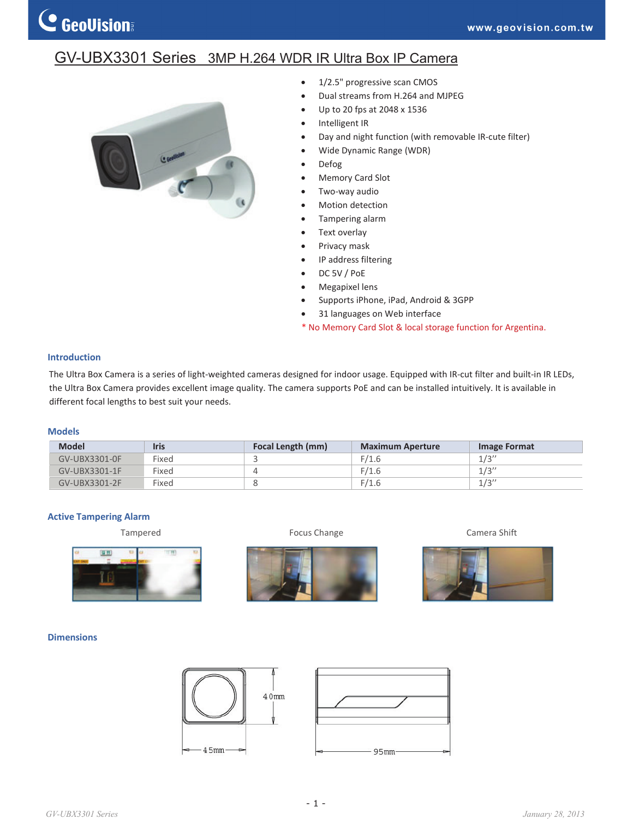## GV-UBX3301 Series 3MP H.264 WDR IR Ultra Box IP Camera



- $\bullet$  1/2.5" progressive scan CMOS
- Dual streams from H.264 and MJPEG
- x Up to 20 fps at 2048 x 1536
- Intelligent IR
- Day and night function (with removable IR-cute filter)
- Wide Dynamic Range (WDR)
- Defog
- Memory Card Slot
- Two-way audio
- Motion detection
- Tampering alarm
- Text overlay
- Privacy mask
- IP address filtering
- DC 5V / PoE
- Megapixel lens
- Supports iPhone, iPad, Android & 3GPP
- 31 languages on Web interface
- \* No Memory Card Slot & local storage function for Argentina.

#### **Introduction**

The Ultra Box Camera is a series of light-weighted cameras designed for indoor usage. Equipped with IR-cut filter and built-in IR LEDs, the Ultra Box Camera provides excellent image quality. The camera supports PoE and can be installed intuitively. It is available in different focal lengths to best suit your needs.

#### **Models**

| <b>Model</b>  | <b>Iris</b> | Focal Length (mm) | <b>Maximum Aperture</b> | Image Format |
|---------------|-------------|-------------------|-------------------------|--------------|
| GV-UBX3301-0F | Fixed       |                   | F/1.6                   | 1/3''        |
| GV-UBX3301-1F | Fixed       |                   | F/1.6                   | 1/3''        |
| GV-UBX3301-2F | Fixed       |                   | F/1.6                   | 1/3''        |

#### **Active Tampering Alarm**









### **Dimensions**





*GV-UBX3301 Series January 28, 2013*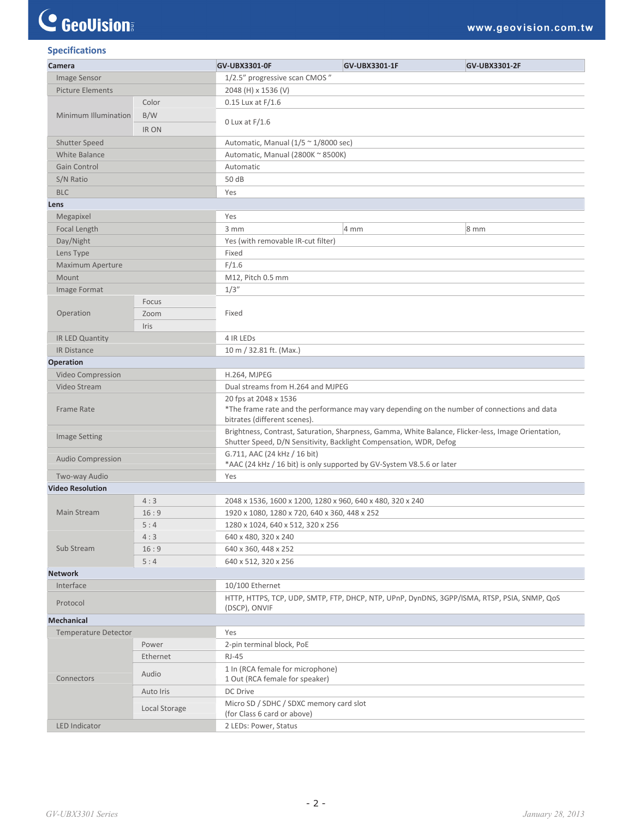# C GeoVision

| <b>Specifications</b> |  |
|-----------------------|--|
|                       |  |

| Camera                      |               | GV-UBX3301-0F                                                                                                                                                             | GV-UBX3301-1F | <b>GV-UBX3301-2F</b> |  |  |
|-----------------------------|---------------|---------------------------------------------------------------------------------------------------------------------------------------------------------------------------|---------------|----------------------|--|--|
| Image Sensor                |               | 1/2.5" progressive scan CMOS"                                                                                                                                             |               |                      |  |  |
| <b>Picture Elements</b>     |               | 2048 (H) x 1536 (V)                                                                                                                                                       |               |                      |  |  |
| Minimum Illumination        | Color         | $0.15$ Lux at $F/1.6$                                                                                                                                                     |               |                      |  |  |
|                             | B/W           |                                                                                                                                                                           |               |                      |  |  |
|                             | IR ON         | 0 Lux at $F/1.6$                                                                                                                                                          |               |                      |  |  |
| Shutter Speed               |               | Automatic, Manual $(1/5 \approx 1/8000 \text{ sec})$                                                                                                                      |               |                      |  |  |
| White Balance               |               | Automatic, Manual (2800K ~ 8500K)                                                                                                                                         |               |                      |  |  |
| Gain Control                |               | Automatic                                                                                                                                                                 |               |                      |  |  |
| S/N Ratio                   |               | 50 dB                                                                                                                                                                     |               |                      |  |  |
| <b>BLC</b>                  |               | Yes                                                                                                                                                                       |               |                      |  |  |
| Lens                        |               |                                                                                                                                                                           |               |                      |  |  |
| Megapixel                   |               | Yes                                                                                                                                                                       |               |                      |  |  |
| Focal Length                |               | 3 mm                                                                                                                                                                      | 4 mm          | $8 \text{ mm}$       |  |  |
| Day/Night                   |               | Yes (with removable IR-cut filter)                                                                                                                                        |               |                      |  |  |
| Lens Type                   |               | Fixed                                                                                                                                                                     |               |                      |  |  |
| Maximum Aperture            |               | F/1.6                                                                                                                                                                     |               |                      |  |  |
| Mount                       |               | M12, Pitch 0.5 mm                                                                                                                                                         |               |                      |  |  |
| Image Format                |               | 1/3''                                                                                                                                                                     |               |                      |  |  |
|                             | Focus         |                                                                                                                                                                           |               |                      |  |  |
| Operation                   | Zoom          | Fixed                                                                                                                                                                     |               |                      |  |  |
|                             | Iris          |                                                                                                                                                                           |               |                      |  |  |
| IR LED Quantity             |               | 4 IR LEDS                                                                                                                                                                 |               |                      |  |  |
| <b>IR Distance</b>          |               | 10 m / 32.81 ft. (Max.)                                                                                                                                                   |               |                      |  |  |
| Operation                   |               |                                                                                                                                                                           |               |                      |  |  |
| Video Compression           |               | <b>H.264, MJPEG</b>                                                                                                                                                       |               |                      |  |  |
| Video Stream                |               | Dual streams from H.264 and MJPEG                                                                                                                                         |               |                      |  |  |
| <b>Frame Rate</b>           |               | 20 fps at 2048 x 1536<br>*The frame rate and the performance may vary depending on the number of connections and data<br>bitrates (different scenes).                     |               |                      |  |  |
| <b>Image Setting</b>        |               | Brightness, Contrast, Saturation, Sharpness, Gamma, White Balance, Flicker-less, Image Orientation,<br>Shutter Speed, D/N Sensitivity, Backlight Compensation, WDR, Defog |               |                      |  |  |
| <b>Audio Compression</b>    |               | G.711, AAC (24 kHz / 16 bit)<br>*AAC (24 kHz / 16 bit) is only supported by GV-System V8.5.6 or later                                                                     |               |                      |  |  |
| Two-way Audio               |               | Yes                                                                                                                                                                       |               |                      |  |  |
| <b>Video Resolution</b>     |               |                                                                                                                                                                           |               |                      |  |  |
|                             | 4:3           | 2048 x 1536, 1600 x 1200, 1280 x 960, 640 x 480, 320 x 240                                                                                                                |               |                      |  |  |
| Main Stream                 | 16:9          | 1920 x 1080, 1280 x 720, 640 x 360, 448 x 252                                                                                                                             |               |                      |  |  |
|                             | 5:4           | 1280 x 1024, 640 x 512, 320 x 256                                                                                                                                         |               |                      |  |  |
|                             | 4:3           | 640 x 480, 320 x 240                                                                                                                                                      |               |                      |  |  |
| Sub Stream                  | 16:9          | 640 x 360, 448 x 252                                                                                                                                                      |               |                      |  |  |
|                             | 5:4           | 640 x 512, 320 x 256                                                                                                                                                      |               |                      |  |  |
| <b>Network</b>              |               |                                                                                                                                                                           |               |                      |  |  |
| Interface                   |               | 10/100 Ethernet                                                                                                                                                           |               |                      |  |  |
| Protocol                    |               | HTTP, HTTPS, TCP, UDP, SMTP, FTP, DHCP, NTP, UPnP, DynDNS, 3GPP/ISMA, RTSP, PSIA, SNMP, QoS<br>(DSCP), ONVIF                                                              |               |                      |  |  |
| <b>Mechanical</b>           |               |                                                                                                                                                                           |               |                      |  |  |
| <b>Temperature Detector</b> |               | Yes                                                                                                                                                                       |               |                      |  |  |
| Connectors                  | Power         | 2-pin terminal block, PoE                                                                                                                                                 |               |                      |  |  |
|                             | Ethernet      | $RJ-45$                                                                                                                                                                   |               |                      |  |  |
|                             | Audio         | 1 In (RCA female for microphone)<br>1 Out (RCA female for speaker)                                                                                                        |               |                      |  |  |
|                             | Auto Iris     | DC Drive                                                                                                                                                                  |               |                      |  |  |
|                             | Local Storage | Micro SD / SDHC / SDXC memory card slot                                                                                                                                   |               |                      |  |  |
| LED Indicator               |               | (for Class 6 card or above)                                                                                                                                               |               |                      |  |  |
|                             |               | 2 LEDs: Power, Status                                                                                                                                                     |               |                      |  |  |